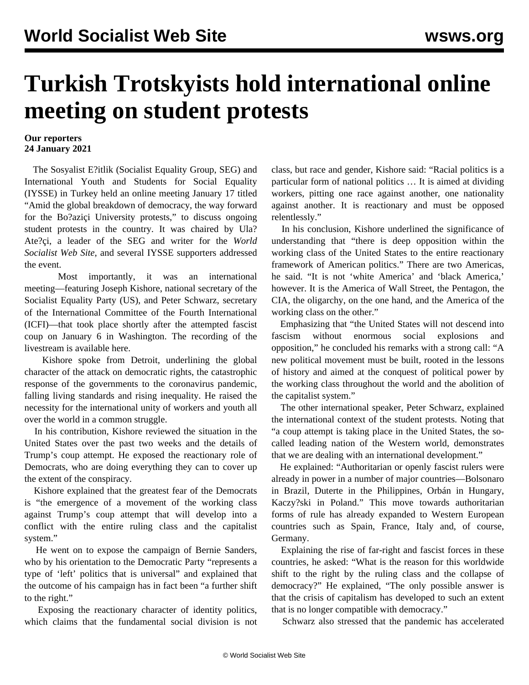## **Turkish Trotskyists hold international online meeting on student protests**

## **Our reporters 24 January 2021**

 The Sosyalist E?itlik (Socialist Equality Group, SEG) and International Youth and Students for Social Equality (IYSSE) in Turkey held an online meeting January 17 titled "Amid the global breakdown of democracy, the way forward for the Bo?aziçi University protests," to discuss ongoing student protests in the country. It was chaired by Ula? Ate?çi, a leader of the SEG and writer for the *World Socialist Web Site*, and several IYSSE supporters addressed the event.

 Most importantly, it was an international meeting—featuring Joseph Kishore, national secretary of the Socialist Equality Party (US), and Peter Schwarz, secretary of the International Committee of the Fourth International (ICFI)—that took place shortly after the attempted fascist coup on January 6 in Washington. The recording of the livestream is available [here](https://youtu.be/VcdY8BMuxdo).

 Kishore spoke from Detroit, underlining the global character of the attack on democratic rights, the catastrophic response of the governments to the coronavirus pandemic, falling living standards and rising inequality. He raised the necessity for the international unity of workers and youth all over the world in a common struggle.

 In his contribution, Kishore reviewed the situation in the United States over the past two weeks and the details of Trump's coup attempt. He exposed the reactionary role of Democrats, who are doing everything they can to cover up the extent of the conspiracy.

 Kishore explained that the greatest fear of the Democrats is "the emergence of a movement of the working class against Trump's coup attempt that will develop into a conflict with the entire ruling class and the capitalist system."

 He went on to expose the campaign of Bernie Sanders, who by his orientation to the Democratic Party "represents a type of 'left' politics that is universal" and explained that the outcome of his campaign has in fact been "a further shift to the right."

 Exposing the reactionary character of identity politics, which claims that the fundamental social division is not class, but race and gender, Kishore said: "Racial politics is a particular form of national politics … It is aimed at dividing workers, pitting one race against another, one nationality against another. It is reactionary and must be opposed relentlessly."

 In his conclusion, Kishore underlined the significance of understanding that "there is deep opposition within the working class of the United States to the entire reactionary framework of American politics." There are two Americas, he said. "It is not 'white America' and 'black America,' however. It is the America of Wall Street, the Pentagon, the CIA, the oligarchy, on the one hand, and the America of the working class on the other."

 Emphasizing that "the United States will not descend into fascism without enormous social explosions and opposition," he concluded his remarks with a strong call: "A new political movement must be built, rooted in the lessons of history and aimed at the conquest of political power by the working class throughout the world and the abolition of the capitalist system."

 The other international speaker, Peter Schwarz, explained the international context of the student protests. Noting that "a coup attempt is taking place in the United States, the socalled leading nation of the Western world, demonstrates that we are dealing with an international development."

 He explained: "Authoritarian or openly fascist rulers were already in power in a number of major countries—Bolsonaro in Brazil, Duterte in the Philippines, Orbán in Hungary, Kaczy?ski in Poland." This move towards authoritarian forms of rule has already expanded to Western European countries such as Spain, France, Italy and, of course, Germany.

 Explaining the rise of far-right and fascist forces in these countries, he asked: "What is the reason for this worldwide shift to the right by the ruling class and the collapse of democracy?" He explained, "The only possible answer is that the crisis of capitalism has developed to such an extent that is no longer compatible with democracy."

Schwarz also stressed that the pandemic has accelerated